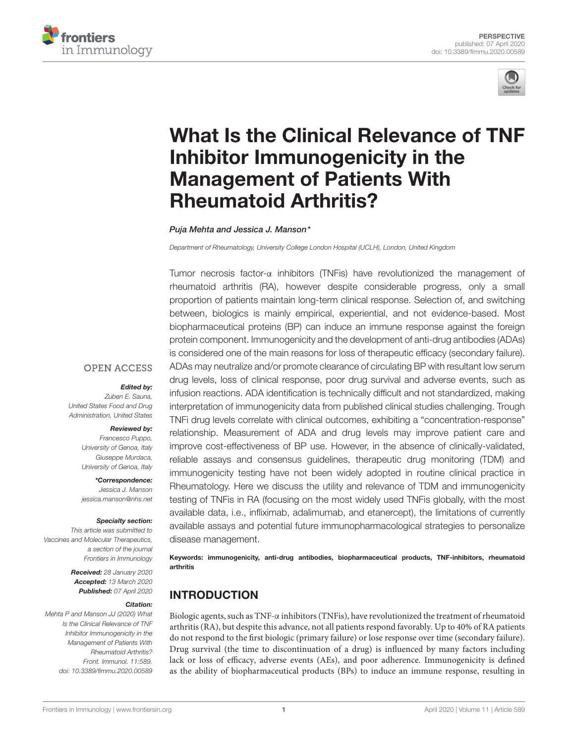



# [What Is the Clinical Relevance of TNF](https://www.frontiersin.org/articles/10.3389/fimmu.2020.00589/full) Inhibitor Immunogenicity in the Management of Patients With Rheumatoid Arthritis?

#### [Puja Mehta](http://loop.frontiersin.org/people/918440/overview) and [Jessica J. Manson\\*](http://loop.frontiersin.org/people/896273/overview)

*Department of Rheumatology, University College London Hospital (UCLH), London, United Kingdom*

Tumor necrosis factor-α inhibitors (TNFis) have revolutionized the management of rheumatoid arthritis (RA), however despite considerable progress, only a small proportion of patients maintain long-term clinical response. Selection of, and switching between, biologics is mainly empirical, experiential, and not evidence-based. Most biopharmaceutical proteins (BP) can induce an immune response against the foreign protein component. Immunogenicity and the development of anti-drug antibodies (ADAs) is considered one of the main reasons for loss of therapeutic efficacy (secondary failure). ADAs may neutralize and/or promote clearance of circulating BP with resultant low serum drug levels, loss of clinical response, poor drug survival and adverse events, such as infusion reactions. ADA identification is technically difficult and not standardized, making interpretation of immunogenicity data from published clinical studies challenging. Trough TNFi drug levels correlate with clinical outcomes, exhibiting a "concentration-response" relationship. Measurement of ADA and drug levels may improve patient care and improve cost-effectiveness of BP use. However, in the absence of clinically-validated, reliable assays and consensus guidelines, therapeutic drug monitoring (TDM) and immunogenicity testing have not been widely adopted in routine clinical practice in Rheumatology. Here we discuss the utility and relevance of TDM and immunogenicity testing of TNFis in RA (focusing on the most widely used TNFis globally, with the most available data, i.e., infliximab, adalimumab, and etanercept), the limitations of currently available assays and potential future immunopharmacological strategies to personalize disease management.

Keywords: immunogenicity, anti-drug antibodies, biopharmaceutical products, TNF-inhibitors, rheumatoid arthritis

# INTRODUCTION

Biologic agents, such as TNF-α inhibitors (TNFis), have revolutionized the treatment of rheumatoid arthritis (RA), but despite this advance, not all patients respond favorably. Up to 40% of RA patients do not respond to the first biologic (primary failure) or lose response over time (secondary failure). Drug survival (the time to discontinuation of a drug) is influenced by many factors including lack or loss of efficacy, adverse events (AEs), and poor adherence. Immunogenicity is defined as the ability of biopharmaceutical products (BPs) to induce an immune response, resulting in

### **OPEN ACCESS**

#### Edited by:

*Zuben E. Sauna, United States Food and Drug Administration, United States*

#### Reviewed by:

*Francesco Puppo, University of Genoa, Italy Giuseppe Murdaca, University of Genoa, Italy*

\*Correspondence: *Jessica J. Manson [jessica.manson@nhs.net](mailto:jessica.manson@nhs.net)*

#### Specialty section:

*This article was submitted to Vaccines and Molecular Therapeutics, a section of the journal Frontiers in Immunology*

> Received: *28 January 2020* Accepted: *13 March 2020* Published: *07 April 2020*

#### Citation:

*Mehta P and Manson JJ (2020) What Is the Clinical Relevance of TNF Inhibitor Immunogenicity in the Management of Patients With Rheumatoid Arthritis? Front. Immunol. 11:589. doi: [10.3389/fimmu.2020.00589](https://doi.org/10.3389/fimmu.2020.00589)*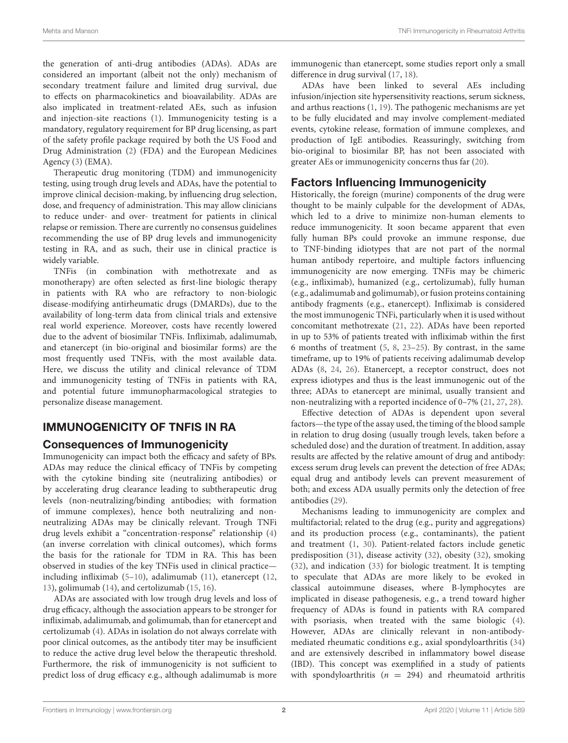the generation of anti-drug antibodies (ADAs). ADAs are considered an important (albeit not the only) mechanism of secondary treatment failure and limited drug survival, due to effects on pharmacokinetics and bioavailability. ADAs are also implicated in treatment-related AEs, such as infusion and injection-site reactions [\(1\)](#page-4-0). Immunogenicity testing is a mandatory, regulatory requirement for BP drug licensing, as part of the safety profile package required by both the US Food and Drug Administration [\(2\)](#page-4-1) (FDA) and the European Medicines Agency [\(3\)](#page-4-2) (EMA).

Therapeutic drug monitoring (TDM) and immunogenicity testing, using trough drug levels and ADAs, have the potential to improve clinical decision-making, by influencing drug selection, dose, and frequency of administration. This may allow clinicians to reduce under- and over- treatment for patients in clinical relapse or remission. There are currently no consensus guidelines recommending the use of BP drug levels and immunogenicity testing in RA, and as such, their use in clinical practice is widely variable.

TNFis (in combination with methotrexate and as monotherapy) are often selected as first-line biologic therapy in patients with RA who are refractory to non-biologic disease-modifying antirheumatic drugs (DMARDs), due to the availability of long-term data from clinical trials and extensive real world experience. Moreover, costs have recently lowered due to the advent of biosimilar TNFis. Infliximab, adalimumab, and etanercept (in bio-original and biosimilar forms) are the most frequently used TNFis, with the most available data. Here, we discuss the utility and clinical relevance of TDM and immunogenicity testing of TNFis in patients with RA, and potential future immunopharmacological strategies to personalize disease management.

# IMMUNOGENICITY OF TNFIS IN RA

## Consequences of Immunogenicity

Immunogenicity can impact both the efficacy and safety of BPs. ADAs may reduce the clinical efficacy of TNFis by competing with the cytokine binding site (neutralizing antibodies) or by accelerating drug clearance leading to subtherapeutic drug levels (non-neutralizing/binding antibodies; with formation of immune complexes), hence both neutralizing and nonneutralizing ADAs may be clinically relevant. Trough TNFi drug levels exhibit a "concentration-response" relationship [\(4\)](#page-4-3) (an inverse correlation with clinical outcomes), which forms the basis for the rationale for TDM in RA. This has been observed in studies of the key TNFis used in clinical practice including infliximab [\(5–](#page-4-4)[10\)](#page-4-5), adalimumab [\(11\)](#page-5-0), etanercept [\(12,](#page-5-1) [13\)](#page-5-2), golimumab [\(14\)](#page-5-3), and certolizumab [\(15,](#page-5-4) [16\)](#page-5-5).

ADAs are associated with low trough drug levels and loss of drug efficacy, although the association appears to be stronger for infliximab, adalimumab, and golimumab, than for etanercept and certolizumab [\(4\)](#page-4-3). ADAs in isolation do not always correlate with poor clinical outcomes, as the antibody titer may be insufficient to reduce the active drug level below the therapeutic threshold. Furthermore, the risk of immunogenicity is not sufficient to predict loss of drug efficacy e.g., although adalimumab is more immunogenic than etanercept, some studies report only a small difference in drug survival [\(17,](#page-5-6) [18\)](#page-5-7).

ADAs have been linked to several AEs including infusion/injection site hypersensitivity reactions, serum sickness, and arthus reactions [\(1,](#page-4-0) [19\)](#page-5-8). The pathogenic mechanisms are yet to be fully elucidated and may involve complement-mediated events, cytokine release, formation of immune complexes, and production of IgE antibodies. Reassuringly, switching from bio-original to biosimilar BP, has not been associated with greater AEs or immunogenicity concerns thus far [\(20\)](#page-5-9).

## Factors Influencing Immunogenicity

Historically, the foreign (murine) components of the drug were thought to be mainly culpable for the development of ADAs, which led to a drive to minimize non-human elements to reduce immunogenicity. It soon became apparent that even fully human BPs could provoke an immune response, due to TNF-binding idiotypes that are not part of the normal human antibody repertoire, and multiple factors influencing immunogenicity are now emerging. TNFis may be chimeric (e.g., infliximab), humanized (e.g., certolizumab), fully human (e.g., adalimumab and golimumab), or fusion proteins containing antibody fragments (e.g., etanercept). Infliximab is considered the most immunogenic TNFi, particularly when it is used without concomitant methotrexate [\(21,](#page-5-10) [22\)](#page-5-11). ADAs have been reported in up to 53% of patients treated with infliximab within the first 6 months of treatment [\(5,](#page-4-4) [8,](#page-4-6) [23–](#page-5-12)[25\)](#page-5-13). By contrast, in the same timeframe, up to 19% of patients receiving adalimumab develop ADAs [\(8,](#page-4-6) [24,](#page-5-14) [26\)](#page-5-15). Etanercept, a receptor construct, does not express idiotypes and thus is the least immunogenic out of the three; ADAs to etanercept are minimal, usually transient and non-neutralizing with a reported incidence of 0–7% [\(21,](#page-5-10) [27,](#page-5-16) [28\)](#page-5-17).

Effective detection of ADAs is dependent upon several factors—the type of the assay used, the timing of the blood sample in relation to drug dosing (usually trough levels, taken before a scheduled dose) and the duration of treatment. In addition, assay results are affected by the relative amount of drug and antibody: excess serum drug levels can prevent the detection of free ADAs; equal drug and antibody levels can prevent measurement of both; and excess ADA usually permits only the detection of free antibodies [\(29\)](#page-5-18).

Mechanisms leading to immunogenicity are complex and multifactorial; related to the drug (e.g., purity and aggregations) and its production process (e.g., contaminants), the patient and treatment [\(1,](#page-4-0) [30\)](#page-5-19). Patient-related factors include genetic predisposition [\(31\)](#page-5-20), disease activity [\(32\)](#page-5-21), obesity [\(32\)](#page-5-21), smoking [\(32\)](#page-5-21), and indication [\(33\)](#page-5-22) for biologic treatment. It is tempting to speculate that ADAs are more likely to be evoked in classical autoimmune diseases, where B-lymphocytes are implicated in disease pathogenesis, e.g., a trend toward higher frequency of ADAs is found in patients with RA compared with psoriasis, when treated with the same biologic [\(4\)](#page-4-3). However, ADAs are clinically relevant in non-antibodymediated rheumatic conditions e.g., axial spondyloarthritis [\(34\)](#page-5-23) and are extensively described in inflammatory bowel disease (IBD). This concept was exemplified in a study of patients with spondyloarthritis ( $n = 294$ ) and rheumatoid arthritis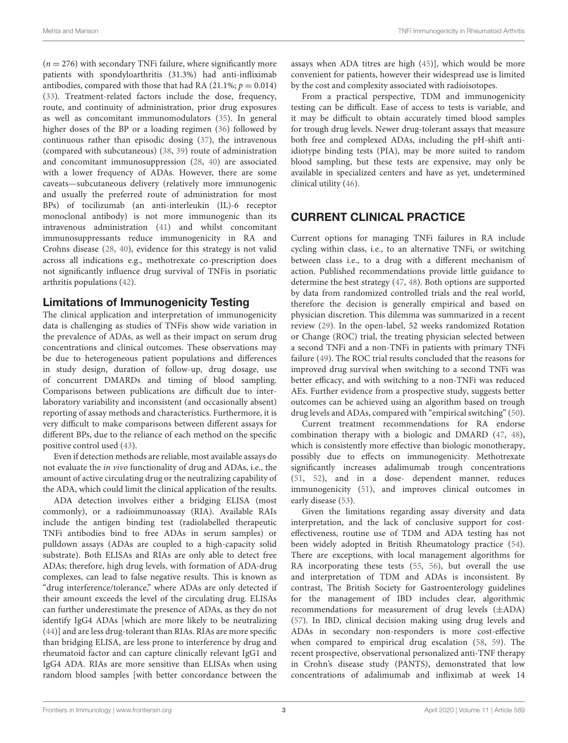$(n = 276)$  with secondary TNFi failure, where significantly more patients with spondyloarthritis (31.3%) had anti-infliximab antibodies, compared with those that had RA (21.1%;  $p = 0.014$ ) [\(33\)](#page-5-22). Treatment-related factors include the dose, frequency, route, and continuity of administration, prior drug exposures as well as concomitant immunomodulators [\(35\)](#page-5-24). In general higher doses of the BP or a loading regimen [\(36\)](#page-5-25) followed by continuous rather than episodic dosing [\(37\)](#page-5-26), the intravenous (compared with subcutaneous) [\(38,](#page-5-27) [39\)](#page-5-28) route of administration and concomitant immunosuppression [\(28,](#page-5-17) [40\)](#page-5-29) are associated with a lower frequency of ADAs. However, there are some caveats—subcutaneous delivery (relatively more immunogenic and usually the preferred route of administration for most BPs) of tocilizumab (an anti-interleukin (IL)-6 receptor monoclonal antibody) is not more immunogenic than its intravenous administration [\(41\)](#page-5-30) and whilst concomitant immunosuppressants reduce immunogenicity in RA and Crohns disease [\(28,](#page-5-17) [40\)](#page-5-29), evidence for this strategy is not valid across all indications e.g., methotrexate co-prescription does not significantly influence drug survival of TNFis in psoriatic arthritis populations [\(42\)](#page-6-0).

## Limitations of Immunogenicity Testing

The clinical application and interpretation of immunogenicity data is challenging as studies of TNFis show wide variation in the prevalence of ADAs, as well as their impact on serum drug concentrations and clinical outcomes. These observations may be due to heterogeneous patient populations and differences in study design, duration of follow-up, drug dosage, use of concurrent DMARDs and timing of blood sampling. Comparisons between publications are difficult due to interlaboratory variability and inconsistent (and occasionally absent) reporting of assay methods and characteristics. Furthermore, it is very difficult to make comparisons between different assays for different BPs, due to the reliance of each method on the specific positive control used [\(43\)](#page-6-1).

Even if detection methods are reliable, most available assays do not evaluate the in vivo functionality of drug and ADAs, i.e., the amount of active circulating drug or the neutralizing capability of the ADA, which could limit the clinical application of the results.

ADA detection involves either a bridging ELISA (most commonly), or a radioimmunoassay (RIA). Available RAIs include the antigen binding test (radiolabelled therapeutic TNFi antibodies bind to free ADAs in serum samples) or pulldown assays (ADAs are coupled to a high-capacity solid substrate). Both ELISAs and RIAs are only able to detect free ADAs; therefore, high drug levels, with formation of ADA-drug complexes, can lead to false negative results. This is known as "drug interference/tolerance," where ADAs are only detected if their amount exceeds the level of the circulating drug. ELISAs can further underestimate the presence of ADAs, as they do not identify IgG4 ADAs [which are more likely to be neutralizing [\(44\)](#page-6-2)] and are less drug-tolerant than RIAs. RIAs are more specific than bridging ELISA, are less prone to interference by drug and rheumatoid factor and can capture clinically relevant IgG1 and IgG4 ADA. RIAs are more sensitive than ELISAs when using random blood samples [with better concordance between the assays when ADA titres are high [\(45\)](#page-6-3)], which would be more convenient for patients, however their widespread use is limited by the cost and complexity associated with radioisotopes.

From a practical perspective, TDM and immunogenicity testing can be difficult. Ease of access to tests is variable, and it may be difficult to obtain accurately timed blood samples for trough drug levels. Newer drug-tolerant assays that measure both free and complexed ADAs, including the pH-shift antiidiotype binding tests (PIA), may be more suited to random blood sampling, but these tests are expensive, may only be available in specialized centers and have as yet, undetermined clinical utility [\(46\)](#page-6-4).

# CURRENT CLINICAL PRACTICE

Current options for managing TNFi failures in RA include cycling within class, i.e., to an alternative TNFi, or switching between class i.e., to a drug with a different mechanism of action. Published recommendations provide little guidance to determine the best strategy [\(47,](#page-6-5) [48\)](#page-6-6). Both options are supported by data from randomized controlled trials and the real world, therefore the decision is generally empirical and based on physician discretion. This dilemma was summarized in a recent review [\(29\)](#page-5-18). In the open-label, 52 weeks randomized Rotation or Change (ROC) trial, the treating physician selected between a second TNFi and a non-TNFi in patients with primary TNFi failure [\(49\)](#page-6-7). The ROC trial results concluded that the reasons for improved drug survival when switching to a second TNFi was better efficacy, and with switching to a non-TNFi was reduced AEs. Further evidence from a prospective study, suggests better outcomes can be achieved using an algorithm based on trough drug levels and ADAs, compared with "empirical switching" [\(50\)](#page-6-8).

Current treatment recommendations for RA endorse combination therapy with a biologic and DMARD [\(47,](#page-6-5) [48\)](#page-6-6), which is consistently more effective than biologic monotherapy, possibly due to effects on immunogenicity. Methotrexate significantly increases adalimumab trough concentrations [\(51,](#page-6-9) [52\)](#page-6-10), and in a dose- dependent manner, reduces immunogenicity [\(51\)](#page-6-9), and improves clinical outcomes in early disease [\(53\)](#page-6-11).

Given the limitations regarding assay diversity and data interpretation, and the lack of conclusive support for costeffectiveness, routine use of TDM and ADA testing has not been widely adopted in British Rheumatology practice [\(54\)](#page-6-12). There are exceptions, with local management algorithms for RA incorporating these tests [\(55,](#page-6-13) [56\)](#page-6-14), but overall the use and interpretation of TDM and ADAs is inconsistent. By contrast, The British Society for Gastroenterology guidelines for the management of IBD includes clear, algorithmic recommendations for measurement of drug levels (±ADA) [\(57\)](#page-6-15). In IBD, clinical decision making using drug levels and ADAs in secondary non-responders is more cost-effective when compared to empirical drug escalation [\(58,](#page-6-16) [59\)](#page-6-17). The recent prospective, observational personalized anti-TNF therapy in Crohn's disease study (PANTS), demonstrated that low concentrations of adalimumab and infliximab at week 14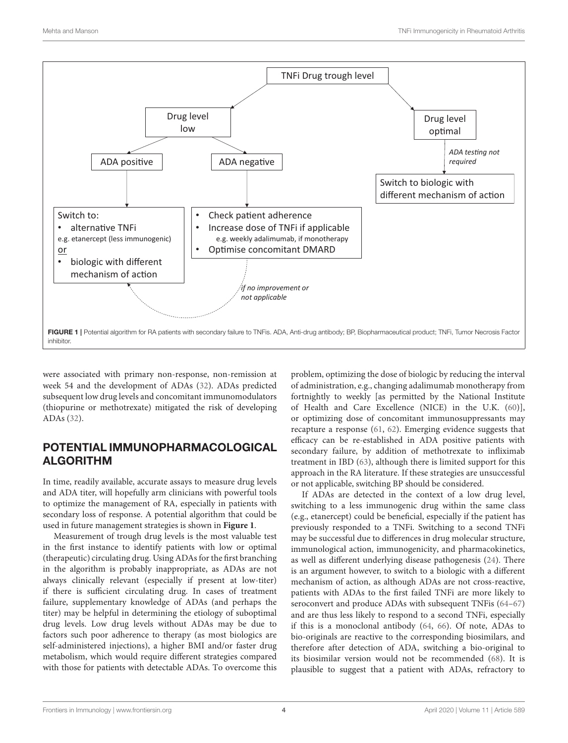

<span id="page-3-0"></span>were associated with primary non-response, non-remission at week 54 and the development of ADAs [\(32\)](#page-5-21). ADAs predicted subsequent low drug levels and concomitant immunomodulators (thiopurine or methotrexate) mitigated the risk of developing ADAs [\(32\)](#page-5-21).

# POTENTIAL IMMUNOPHARMACOLOGICAL ALGORITHM

In time, readily available, accurate assays to measure drug levels and ADA titer, will hopefully arm clinicians with powerful tools to optimize the management of RA, especially in patients with secondary loss of response. A potential algorithm that could be used in future management strategies is shown in **[Figure 1](#page-3-0)**.

Measurement of trough drug levels is the most valuable test in the first instance to identify patients with low or optimal (therapeutic) circulating drug. Using ADAs for the first branching in the algorithm is probably inappropriate, as ADAs are not always clinically relevant (especially if present at low-titer) if there is sufficient circulating drug. In cases of treatment failure, supplementary knowledge of ADAs (and perhaps the titer) may be helpful in determining the etiology of suboptimal drug levels. Low drug levels without ADAs may be due to factors such poor adherence to therapy (as most biologics are self-administered injections), a higher BMI and/or faster drug metabolism, which would require different strategies compared with those for patients with detectable ADAs. To overcome this problem, optimizing the dose of biologic by reducing the interval of administration, e.g., changing adalimumab monotherapy from fortnightly to weekly [as permitted by the National Institute of Health and Care Excellence (NICE) in the U.K. [\(60\)](#page-6-18)], or optimizing dose of concomitant immunosuppressants may recapture a response [\(61,](#page-6-19) [62\)](#page-6-20). Emerging evidence suggests that efficacy can be re-established in ADA positive patients with secondary failure, by addition of methotrexate to infliximab treatment in IBD [\(63\)](#page-6-21), although there is limited support for this approach in the RA literature. If these strategies are unsuccessful or not applicable, switching BP should be considered.

If ADAs are detected in the context of a low drug level, switching to a less immunogenic drug within the same class (e.g., etanercept) could be beneficial, especially if the patient has previously responded to a TNFi. Switching to a second TNFi may be successful due to differences in drug molecular structure, immunological action, immunogenicity, and pharmacokinetics, as well as different underlying disease pathogenesis [\(24\)](#page-5-14). There is an argument however, to switch to a biologic with a different mechanism of action, as although ADAs are not cross-reactive, patients with ADAs to the first failed TNFi are more likely to seroconvert and produce ADAs with subsequent TNFis [\(64](#page-6-22)[–67\)](#page-6-23) and are thus less likely to respond to a second TNFi, especially if this is a monoclonal antibody [\(64,](#page-6-22) [66\)](#page-6-24). Of note, ADAs to bio-originals are reactive to the corresponding biosimilars, and therefore after detection of ADA, switching a bio-original to its biosimilar version would not be recommended [\(68\)](#page-6-25). It is plausible to suggest that a patient with ADAs, refractory to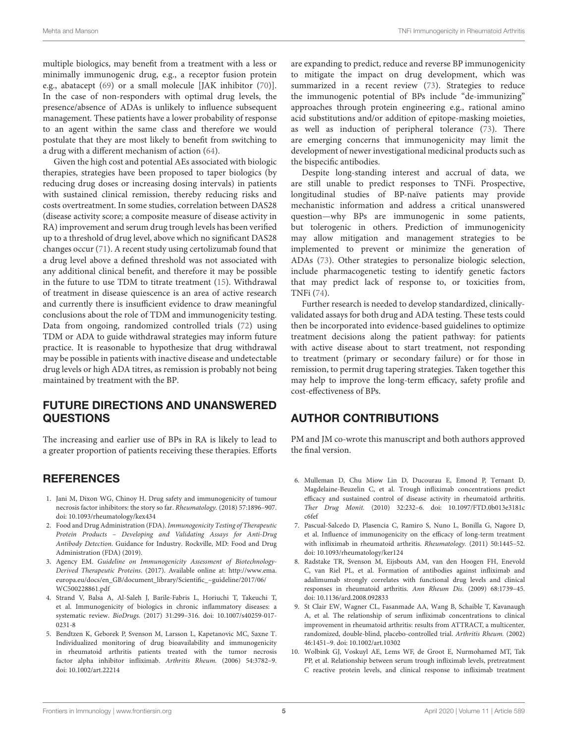multiple biologics, may benefit from a treatment with a less or minimally immunogenic drug, e.g., a receptor fusion protein e.g., abatacept [\(69\)](#page-6-26) or a small molecule [JAK inhibitor [\(70\)](#page-6-27)]. In the case of non-responders with optimal drug levels, the presence/absence of ADAs is unlikely to influence subsequent management. These patients have a lower probability of response to an agent within the same class and therefore we would postulate that they are most likely to benefit from switching to a drug with a different mechanism of action [\(64\)](#page-6-22).

Given the high cost and potential AEs associated with biologic therapies, strategies have been proposed to taper biologics (by reducing drug doses or increasing dosing intervals) in patients with sustained clinical remission, thereby reducing risks and costs overtreatment. In some studies, correlation between DAS28 (disease activity score; a composite measure of disease activity in RA) improvement and serum drug trough levels has been verified up to a threshold of drug level, above which no significant DAS28 changes occur [\(71\)](#page-6-28). A recent study using certolizumab found that a drug level above a defined threshold was not associated with any additional clinical benefit, and therefore it may be possible in the future to use TDM to titrate treatment [\(15\)](#page-5-4). Withdrawal of treatment in disease quiescence is an area of active research and currently there is insufficient evidence to draw meaningful conclusions about the role of TDM and immunogenicity testing. Data from ongoing, randomized controlled trials [\(72\)](#page-6-29) using TDM or ADA to guide withdrawal strategies may inform future practice. It is reasonable to hypothesize that drug withdrawal may be possible in patients with inactive disease and undetectable drug levels or high ADA titres, as remission is probably not being maintained by treatment with the BP.

## FUTURE DIRECTIONS AND UNANSWERED QUESTIONS

The increasing and earlier use of BPs in RA is likely to lead to a greater proportion of patients receiving these therapies. Efforts

# **REFERENCES**

- <span id="page-4-0"></span>1. Jani M, Dixon WG, Chinoy H. Drug safety and immunogenicity of tumour necrosis factor inhibitors: the story so far. Rheumatology. (2018) 57:1896–907. doi: [10.1093/rheumatology/kex434](https://doi.org/10.1093/rheumatology/kex434)
- <span id="page-4-1"></span>2. Food and Drug Administration (FDA). Immunogenicity Testing of Therapeutic Protein Products – Developing and Validating Assays for Anti-Drug Antibody Detection. Guidance for Industry. Rockville, MD: Food and Drug Administration (FDA) (2019).
- <span id="page-4-2"></span>3. Agency EM. Guideline on Immunogenicity Assessment of Biotechnology-Derived Therapeutic Proteins. (2017). Available online at: [http://www.ema.](http://www.ema.europa.eu/docs/en_GB/document_library/Scientific_~guideline/2017/06/WC500228861.pdf) [europa.eu/docs/en\\_GB/document\\_library/Scientific\\_~guideline/2017/06/](http://www.ema.europa.eu/docs/en_GB/document_library/Scientific_~guideline/2017/06/WC500228861.pdf) [WC500228861.pdf](http://www.ema.europa.eu/docs/en_GB/document_library/Scientific_~guideline/2017/06/WC500228861.pdf)
- <span id="page-4-3"></span>4. Strand V, Balsa A, Al-Saleh J, Barile-Fabris L, Horiuchi T, Takeuchi T, et al. Immunogenicity of biologics in chronic inflammatory diseases: a systematic review. BioDrugs. [\(2017\) 31:299–316. doi: 10.1007/s40259-017-](https://doi.org/10.1007/s40259-017-0231-8) 0231-8
- <span id="page-4-4"></span>5. Bendtzen K, Geborek P, Svenson M, Larsson L, Kapetanovic MC, Saxne T. Individualized monitoring of drug bioavailability and immunogenicity in rheumatoid arthritis patients treated with the tumor necrosis factor alpha inhibitor infliximab. Arthritis Rheum. (2006) 54:3782–9. doi: [10.1002/art.22214](https://doi.org/10.1002/art.22214)

are expanding to predict, reduce and reverse BP immunogenicity to mitigate the impact on drug development, which was summarized in a recent review [\(73\)](#page-7-0). Strategies to reduce the immunogenic potential of BPs include "de-immunizing" approaches through protein engineering e.g., rational amino acid substitutions and/or addition of epitope-masking moieties, as well as induction of peripheral tolerance [\(73\)](#page-7-0). There are emerging concerns that immunogenicity may limit the development of newer investigational medicinal products such as the bispecific antibodies.

Despite long-standing interest and accrual of data, we are still unable to predict responses to TNFi. Prospective, longitudinal studies of BP-naïve patients may provide mechanistic information and address a critical unanswered question—why BPs are immunogenic in some patients, but tolerogenic in others. Prediction of immunogenicity may allow mitigation and management strategies to be implemented to prevent or minimize the generation of ADAs [\(73\)](#page-7-0). Other strategies to personalize biologic selection, include pharmacogenetic testing to identify genetic factors that may predict lack of response to, or toxicities from, TNFi [\(74\)](#page-7-1).

Further research is needed to develop standardized, clinicallyvalidated assays for both drug and ADA testing. These tests could then be incorporated into evidence-based guidelines to optimize treatment decisions along the patient pathway: for patients with active disease about to start treatment, not responding to treatment (primary or secondary failure) or for those in remission, to permit drug tapering strategies. Taken together this may help to improve the long-term efficacy, safety profile and cost-effectiveness of BPs.

# AUTHOR CONTRIBUTIONS

PM and JM co-wrote this manuscript and both authors approved the final version.

- 6. Mulleman D, Chu Miow Lin D, Ducourau E, Emond P, Ternant D, Magdelaine-Beuzelin C, et al. Trough infliximab concentrations predict efficacy and sustained control of disease activity in rheumatoid arthritis. Ther Drug Monit. [\(2010\) 32:232–6. doi: 10.1097/FTD.0b013e3181c](https://doi.org/10.1097/FTD.0b013e3181cc6fef) c6fef
- 7. Pascual-Salcedo D, Plasencia C, Ramiro S, Nuno L, Bonilla G, Nagore D, et al. Influence of immunogenicity on the efficacy of long-term treatment with infliximab in rheumatoid arthritis. Rheumatology. (2011) 50:1445–52. doi: [10.1093/rheumatology/ker124](https://doi.org/10.1093/rheumatology/ker124)
- <span id="page-4-6"></span>8. Radstake TR, Svenson M, Eijsbouts AM, van den Hoogen FH, Enevold C, van Riel PL, et al. Formation of antibodies against infliximab and adalimumab strongly correlates with functional drug levels and clinical responses in rheumatoid arthritis. Ann Rheum Dis. (2009) 68:1739–45. doi: [10.1136/ard.2008.092833](https://doi.org/10.1136/ard.2008.092833)
- 9. St Clair EW, Wagner CL, Fasanmade AA, Wang B, Schaible T, Kavanaugh A, et al. The relationship of serum infliximab concentrations to clinical improvement in rheumatoid arthritis: results from ATTRACT, a multicenter, randomized, double-blind, placebo-controlled trial. Arthritis Rheum. (2002) 46:1451–9. doi: [10.1002/art.10302](https://doi.org/10.1002/art.10302)
- <span id="page-4-5"></span>10. Wolbink GJ, Voskuyl AE, Lems WF, de Groot E, Nurmohamed MT, Tak PP, et al. Relationship between serum trough infliximab levels, pretreatment C reactive protein levels, and clinical response to infliximab treatment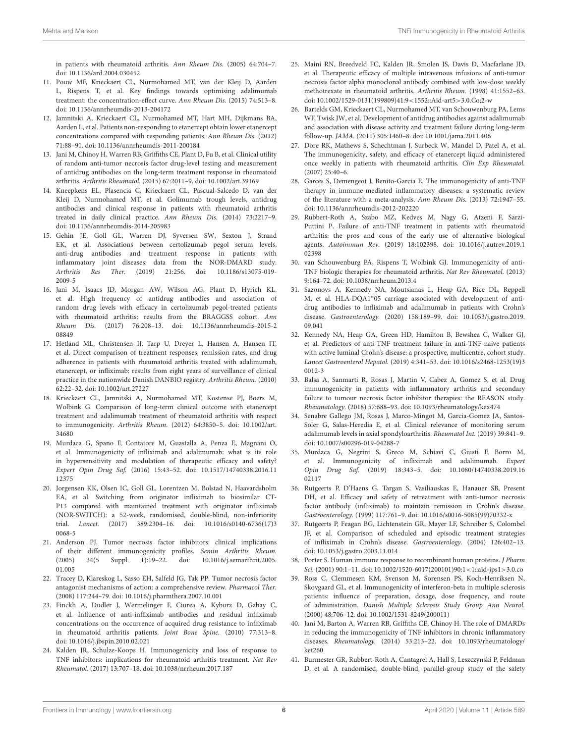in patients with rheumatoid arthritis. Ann Rheum Dis. (2005) 64:704–7. doi: [10.1136/ard.2004.030452](https://doi.org/10.1136/ard.2004.030452)

- <span id="page-5-0"></span>11. Pouw MF, Krieckaert CL, Nurmohamed MT, van der Kleij D, Aarden L, Rispens T, et al. Key findings towards optimising adalimumab treatment: the concentration-effect curve. Ann Rheum Dis. (2015) 74:513–8. doi: [10.1136/annrheumdis-2013-204172](https://doi.org/10.1136/annrheumdis-2013-204172)
- <span id="page-5-1"></span>12. Jamnitski A, Krieckaert CL, Nurmohamed MT, Hart MH, Dijkmans BA, Aarden L, et al. Patients non-responding to etanercept obtain lower etanercept concentrations compared with responding patients. Ann Rheum Dis. (2012) 71:88–91. doi: [10.1136/annrheumdis-2011-200184](https://doi.org/10.1136/annrheumdis-2011-200184)
- <span id="page-5-2"></span>13. Jani M, Chinoy H, Warren RB, Griffiths CE, Plant D, Fu B, et al. Clinical utility of random anti-tumor necrosis factor drug-level testing and measurement of antidrug antibodies on the long-term treatment response in rheumatoid arthritis. Arthritis Rheumatol. (2015) 67:2011–9. doi: [10.1002/art.39169](https://doi.org/10.1002/art.39169)
- <span id="page-5-3"></span>14. Kneepkens EL, Plasencia C, Krieckaert CL, Pascual-Salcedo D, van der Kleij D, Nurmohamed MT, et al. Golimumab trough levels, antidrug antibodies and clinical response in patients with rheumatoid arthritis treated in daily clinical practice. Ann Rheum Dis. (2014) 73:2217–9. doi: [10.1136/annrheumdis-2014-205983](https://doi.org/10.1136/annrheumdis-2014-205983)
- <span id="page-5-4"></span>15. Gehin JE, Goll GL, Warren DJ, Syversen SW, Sexton J, Strand EK, et al. Associations between certolizumab pegol serum levels, anti-drug antibodies and treatment response in patients with inflammatory joint diseases: data from the NOR-DMARD study. Arthritis Res Ther. [\(2019\) 21:256. doi: 10.1186/s13075-019-](https://doi.org/10.1186/s13075-019-2009-5) 2009-5
- <span id="page-5-5"></span>16. Jani M, Isaacs JD, Morgan AW, Wilson AG, Plant D, Hyrich KL, et al. High frequency of antidrug antibodies and association of random drug levels with efficacy in certolizumab pegol-treated patients with rheumatoid arthritis: results from the BRAGGSS cohort. Ann Rheum Dis. [\(2017\) 76:208–13. doi: 10.1136/annrheumdis-2015-2](https://doi.org/10.1136/annrheumdis-2015-208849) 08849
- <span id="page-5-6"></span>17. Hetland ML, Christensen IJ, Tarp U, Dreyer L, Hansen A, Hansen IT, et al. Direct comparison of treatment responses, remission rates, and drug adherence in patients with rheumatoid arthritis treated with adalimumab, etanercept, or infliximab: results from eight years of surveillance of clinical practice in the nationwide Danish DANBIO registry. Arthritis Rheum. (2010) 62:22–32. doi: [10.1002/art.27227](https://doi.org/10.1002/art.27227)
- <span id="page-5-7"></span>18. Krieckaert CL, Jamnitski A, Nurmohamed MT, Kostense PJ, Boers M, Wolbink G. Comparison of long-term clinical outcome with etanercept treatment and adalimumab treatment of rheumatoid arthritis with respect to immunogenicity. Arthritis Rheum. [\(2012\) 64:3850–5. doi: 10.1002/art.](https://doi.org/10.1002/art.34680) 34680
- <span id="page-5-8"></span>19. Murdaca G, Spano F, Contatore M, Guastalla A, Penza E, Magnani O, et al. Immunogenicity of infliximab and adalimumab: what is its role in hypersensitivity and modulation of therapeutic efficacy and safety? Expert Opin Drug Saf. [\(2016\) 15:43–52. doi: 10.1517/14740338.2016.11](https://doi.org/10.1517/14740338.2016.1112375) 12375
- <span id="page-5-9"></span>20. Jorgensen KK, Olsen IC, Goll GL, Lorentzen M, Bolstad N, Haavardsholm EA, et al. Switching from originator infliximab to biosimilar CT-P13 compared with maintained treatment with originator infliximab (NOR-SWITCH): a 52-week, randomised, double-blind, non-inferiority trial. Lancet. [\(2017\) 389:2304–16. doi: 10.1016/s0140-6736\(17\)3](https://doi.org/10.1016/s0140-6736(17)30068-5) 0068-5
- <span id="page-5-10"></span>21. Anderson PJ. Tumor necrosis factor inhibitors: clinical implications of their different immunogenicity profiles. Semin Arthritis Rheum. [\(2005\) 34\(5 Suppl. 1\):19–22. doi: 10.1016/j.semarthrit.2005.](https://doi.org/10.1016/j.semarthrit.2005.01.005) 01.005
- <span id="page-5-11"></span>22. Tracey D, Klareskog L, Sasso EH, Salfeld JG, Tak PP. Tumor necrosis factor antagonist mechanisms of action: a comprehensive review. Pharmacol Ther. (2008) 117:244–79. doi: [10.1016/j.pharmthera.2007.10.001](https://doi.org/10.1016/j.pharmthera.2007.10.001)
- <span id="page-5-12"></span>23. Finckh A, Dudler J, Wermelinger F, Ciurea A, Kyburz D, Gabay C, et al. Influence of anti-infliximab antibodies and residual infliximab concentrations on the occurrence of acquired drug resistance to infliximab in rheumatoid arthritis patients. Joint Bone Spine. (2010) 77:313–8. doi: [10.1016/j.jbspin.2010.02.021](https://doi.org/10.1016/j.jbspin.2010.02.021)
- <span id="page-5-14"></span>24. Kalden JR, Schulze-Koops H. Immunogenicity and loss of response to TNF inhibitors: implications for rheumatoid arthritis treatment. Nat Rev Rheumatol. (2017) 13:707–18. doi: [10.1038/nrrheum.2017.187](https://doi.org/10.1038/nrrheum.2017.187)
- <span id="page-5-13"></span>25. Maini RN, Breedveld FC, Kalden JR, Smolen JS, Davis D, Macfarlane JD, et al. Therapeutic efficacy of multiple intravenous infusions of anti-tumor necrosis factor alpha monoclonal antibody combined with low-dose weekly methotrexate in rheumatoid arthritis. Arthritis Rheum. (1998) 41:1552–63. doi: [10.1002/1529-0131\(199809\)41:9](https://doi.org/10.1002/1529-0131(199809)41:9<1552::Aid-art5>3.0.Co;2-w)<1552::Aid-art5>3.0.Co;2-w
- <span id="page-5-15"></span>26. Bartelds GM, Krieckaert CL, Nurmohamed MT, van Schouwenburg PA, Lems WF, Twisk JW, et al. Development of antidrug antibodies against adalimumab and association with disease activity and treatment failure during long-term follow-up. JAMA. (2011) 305:1460–8. doi: [10.1001/jama.2011.406](https://doi.org/10.1001/jama.2011.406)
- <span id="page-5-16"></span>27. Dore RK, Mathews S, Schechtman J, Surbeck W, Mandel D, Patel A, et al. The immunogenicity, safety, and efficacy of etanercept liquid administered once weekly in patients with rheumatoid arthritis. Clin Exp Rheumatol. (2007) 25:40–6.
- <span id="page-5-17"></span>28. Garces S, Demengeot J, Benito-Garcia E. The immunogenicity of anti-TNF therapy in immune-mediated inflammatory diseases: a systematic review of the literature with a meta-analysis. Ann Rheum Dis. (2013) 72:1947–55. doi: [10.1136/annrheumdis-2012-202220](https://doi.org/10.1136/annrheumdis-2012-202220)
- <span id="page-5-18"></span>29. Rubbert-Roth A, Szabo MZ, Kedves M, Nagy G, Atzeni F, Sarzi-Puttini P. Failure of anti-TNF treatment in patients with rheumatoid arthritis: the pros and cons of the early use of alternative biological agents. Autoimmun Rev. [\(2019\) 18:102398. doi: 10.1016/j.autrev.2019.1](https://doi.org/10.1016/j.autrev.2019.102398) 02398
- <span id="page-5-19"></span>30. van Schouwenburg PA, Rispens T, Wolbink GJ. Immunogenicity of anti-TNF biologic therapies for rheumatoid arthritis. Nat Rev Rheumatol. (2013) 9:164–72. doi: [10.1038/nrrheum.2013.4](https://doi.org/10.1038/nrrheum.2013.4)
- <span id="page-5-20"></span>31. Sazonovs A, Kennedy NA, Moutsianas L, Heap GA, Rice DL, Reppell M, et al. HLA-DQA1<sup>∗</sup> 05 carriage associated with development of antidrug antibodies to infliximab and adalimumab in patients with Crohn's disease. Gastroenterology. [\(2020\) 158:189–99. doi: 10.1053/j.gastro.2019.](https://doi.org/10.1053/j.gastro.2019.09.041) 09.041
- <span id="page-5-21"></span>32. Kennedy NA, Heap GA, Green HD, Hamilton B, Bewshea C, Walker GJ, et al. Predictors of anti-TNF treatment failure in anti-TNF-naive patients with active luminal Crohn's disease: a prospective, multicentre, cohort study. Lancet Gastroenterol Hepatol. [\(2019\) 4:341–53. doi: 10.1016/s2468-1253\(19\)3](https://doi.org/10.1016/s2468-1253(19)30012-3) 0012-3
- <span id="page-5-22"></span>33. Balsa A, Sanmarti R, Rosas J, Martin V, Cabez A, Gomez S, et al. Drug immunogenicity in patients with inflammatory arthritis and secondary failure to tumour necrosis factor inhibitor therapies: the REASON study. Rheumatology. (2018) 57:688–93. doi: [10.1093/rheumatology/kex474](https://doi.org/10.1093/rheumatology/kex474)
- <span id="page-5-23"></span>34. Senabre Gallego JM, Rosas J, Marco-Mingot M, Garcia-Gomez JA, Santos-Soler G, Salas-Heredia E, et al. Clinical relevance of monitoring serum adalimumab levels in axial spondyloarthritis. Rheumatol Int. (2019) 39:841–9. doi: [10.1007/s00296-019-04288-7](https://doi.org/10.1007/s00296-019-04288-7)
- <span id="page-5-24"></span>35. Murdaca G, Negrini S, Greco M, Schiavi C, Giusti F, Borro M, et al. Immunogenicity of infliximab and adalimumab. Expert Opin Drug Saf. [\(2019\) 18:343–5. doi: 10.1080/14740338.2019.16](https://doi.org/10.1080/14740338.2019.1602117) 02117
- <span id="page-5-25"></span>36. Rutgeerts P, D'Haens G, Targan S, Vasiliauskas E, Hanauer SB, Present DH, et al. Efficacy and safety of retreatment with anti-tumor necrosis factor antibody (infliximab) to maintain remission in Crohn's disease. Gastroenterology. (1999) 117:761–9. doi: [10.1016/s0016-5085\(99\)70332-x](https://doi.org/10.1016/s0016-5085(99)70332-x)
- <span id="page-5-26"></span>37. Rutgeerts P, Feagan BG, Lichtenstein GR, Mayer LF, Schreiber S, Colombel JF, et al. Comparison of scheduled and episodic treatment strategies of infliximab in Crohn's disease. Gastroenterology. (2004) 126:402–13. doi: [10.1053/j.gastro.2003.11.014](https://doi.org/10.1053/j.gastro.2003.11.014)
- <span id="page-5-27"></span>38. Porter S. Human immune response to recombinant human proteins. J Pharm Sci. (2001) 90:1–11. doi: [10.1002/1520-6017\(200101\)90:1](https://doi.org/10.1002/1520-6017(200101)90:1<1::aid-jps1>3.0.co;2-k)<1::aid-jps1>3.0.co
- <span id="page-5-28"></span>39. Ross C, Clemmesen KM, Svenson M, Sorensen PS, Koch-Henriksen N, Skovgaard GL, et al. Immunogenicity of interferon-beta in multiple sclerosis patients: influence of preparation, dosage, dose frequency, and route of administration. Danish Multiple Sclerosis Study Group Ann Neurol. (2000) 48:706–12. doi: [10.1002/1531-8249\(200011\)](https://doi.org/10.1002/1531-8249(200011))
- <span id="page-5-29"></span>40. Jani M, Barton A, Warren RB, Griffiths CE, Chinoy H. The role of DMARDs in reducing the immunogenicity of TNF inhibitors in chronic inflammatory diseases. Rheumatology. [\(2014\) 53:213–22. doi: 10.1093/rheumatology/](https://doi.org/10.1093/rheumatology/ket260) ket260
- <span id="page-5-30"></span>41. Burmester GR, Rubbert-Roth A, Cantagrel A, Hall S, Leszczynski P, Feldman D, et al. A randomised, double-blind, parallel-group study of the safety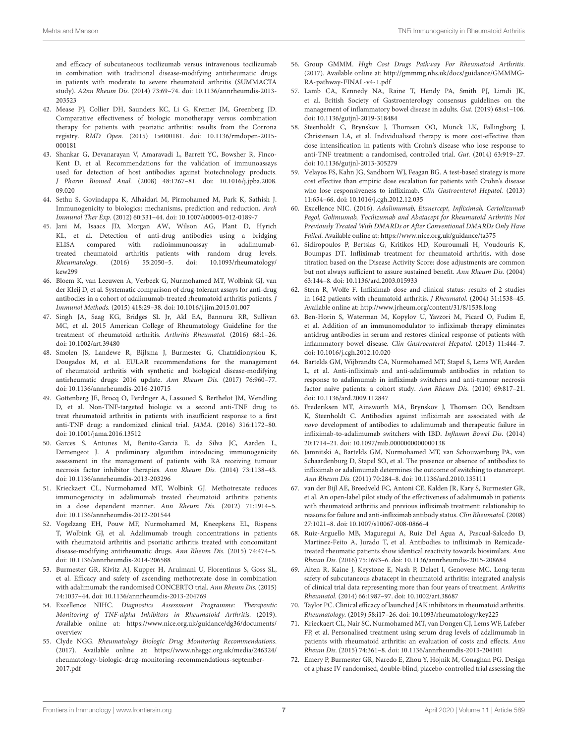and efficacy of subcutaneous tocilizumab versus intravenous tocilizumab in combination with traditional disease-modifying antirheumatic drugs in patients with moderate to severe rheumatoid arthritis (SUMMACTA study). A2nn Rheum Dis. [\(2014\) 73:69–74. doi: 10.1136/annrheumdis-2013-](https://doi.org/10.1136/annrheumdis-2013-203523) 203523

- <span id="page-6-0"></span>42. Mease PJ, Collier DH, Saunders KC, Li G, Kremer JM, Greenberg JD. Comparative effectiveness of biologic monotherapy versus combination therapy for patients with psoriatic arthritis: results from the Corrona registry. RMD Open. [\(2015\) 1:e000181. doi: 10.1136/rmdopen-2015-](https://doi.org/10.1136/rmdopen-2015-000181) 000181
- <span id="page-6-1"></span>43. Shankar G, Devanarayan V, Amaravadi L, Barrett YC, Bowsher R, Finco-Kent D, et al. Recommendations for the validation of immunoassays used for detection of host antibodies against biotechnology products. J Pharm Biomed Anal. [\(2008\) 48:1267–81. doi: 10.1016/j.jpba.2008.](https://doi.org/10.1016/j.jpba.2008.09.020) 09.020
- <span id="page-6-2"></span>44. Sethu S, Govindappa K, Alhaidari M, Pirmohamed M, Park K, Sathish J. Immunogenicity to biologics: mechanisms, prediction and reduction. Arch Immunol Ther Exp. (2012) 60:331–44. doi: [10.1007/s00005-012-0189-7](https://doi.org/10.1007/s00005-012-0189-7)
- <span id="page-6-3"></span>45. Jani M, Isaacs JD, Morgan AW, Wilson AG, Plant D, Hyrich KL, et al. Detection of anti-drug antibodies using a bridging ELISA compared with radioimmunoassay in adalimumabtreated rheumatoid arthritis patients with random drug levels. Rheumatology. [\(2016\) 55:2050–5. doi: 10.1093/rheumatology/](https://doi.org/10.1093/rheumatology/kew299)  $k$ ew299
- <span id="page-6-4"></span>46. Bloem K, van Leeuwen A, Verbeek G, Nurmohamed MT, Wolbink GJ, van der Kleij D, et al. Systematic comparison of drug-tolerant assays for anti-drug antibodies in a cohort of adalimumab-treated rheumatoid arthritis patients. J Immunol Methods. (2015) 418:29–38. doi: [10.1016/j.jim.2015.01.007](https://doi.org/10.1016/j.jim.2015.01.007)
- <span id="page-6-5"></span>47. Singh JA, Saag KG, Bridges SL Jr, Akl EA, Bannuru RR, Sullivan MC, et al. 2015 American College of Rheumatology Guideline for the treatment of rheumatoid arthritis. Arthritis Rheumatol. (2016) 68:1–26. doi: [10.1002/art.39480](https://doi.org/10.1002/art.39480)
- <span id="page-6-6"></span>48. Smolen JS, Landewe R, Bijlsma J, Burmester G, Chatzidionysiou K, Dougados M, et al. EULAR recommendations for the management of rheumatoid arthritis with synthetic and biological disease-modifying antirheumatic drugs: 2016 update. Ann Rheum Dis. (2017) 76:960–77. doi: [10.1136/annrheumdis-2016-210715](https://doi.org/10.1136/annrheumdis-2016-210715)
- <span id="page-6-7"></span>49. Gottenberg JE, Brocq O, Perdriger A, Lassoued S, Berthelot JM, Wendling D, et al. Non-TNF-targeted biologic vs a second anti-TNF drug to treat rheumatoid arthritis in patients with insufficient response to a first anti-TNF drug: a randomized clinical trial. JAMA. (2016) 316:1172–80. doi: [10.1001/jama.2016.13512](https://doi.org/10.1001/jama.2016.13512)
- <span id="page-6-8"></span>50. Garces S, Antunes M, Benito-Garcia E, da Silva JC, Aarden L, Demengeot J. A preliminary algorithm introducing immunogenicity assessment in the management of patients with RA receiving tumour necrosis factor inhibitor therapies. Ann Rheum Dis. (2014) 73:1138–43. doi: [10.1136/annrheumdis-2013-203296](https://doi.org/10.1136/annrheumdis-2013-203296)
- <span id="page-6-9"></span>51. Krieckaert CL, Nurmohamed MT, Wolbink GJ. Methotrexate reduces immunogenicity in adalimumab treated rheumatoid arthritis patients in a dose dependent manner. Ann Rheum Dis. (2012) 71:1914–5. doi: [10.1136/annrheumdis-2012-201544](https://doi.org/10.1136/annrheumdis-2012-201544)
- <span id="page-6-10"></span>52. Vogelzang EH, Pouw MF, Nurmohamed M, Kneepkens EL, Rispens T, Wolbink GJ, et al. Adalimumab trough concentrations in patients with rheumatoid arthritis and psoriatic arthritis treated with concomitant disease-modifying antirheumatic drugs. Ann Rheum Dis. (2015) 74:474–5. doi: [10.1136/annrheumdis-2014-206588](https://doi.org/10.1136/annrheumdis-2014-206588)
- <span id="page-6-11"></span>53. Burmester GR, Kivitz AJ, Kupper H, Arulmani U, Florentinus S, Goss SL, et al. Efficacy and safety of ascending methotrexate dose in combination with adalimumab: the randomised CONCERTO trial. Ann Rheum Dis. (2015) 74:1037–44. doi: [10.1136/annrheumdis-2013-204769](https://doi.org/10.1136/annrheumdis-2013-204769)
- <span id="page-6-12"></span>54. Excellence NIHC. Diagnostics Assessment Programme: Therapeutic Monitoring of TNF-alpha Inhibitors in Rheumatoid Arthritis. (2019). Available online at: [https://www.nice.org.uk/guidance/dg36/documents/](https://www.nice.org.uk/guidance/dg36/documents/overview) [overview](https://www.nice.org.uk/guidance/dg36/documents/overview)
- <span id="page-6-13"></span>55. Clyde NGG. Rheumatology Biologic Drug Monitoring Recommendations. (2017). Available online at: [https://www.nhsggc.org.uk/media/246324/](https://www.nhsggc.org.uk/media/246324/rheumatology-biologic-drug-monitoring-recommendations-september-2017.pdf) [rheumatology-biologic-drug-monitoring-recommendations-september-](https://www.nhsggc.org.uk/media/246324/rheumatology-biologic-drug-monitoring-recommendations-september-2017.pdf)[2017.pdf](https://www.nhsggc.org.uk/media/246324/rheumatology-biologic-drug-monitoring-recommendations-september-2017.pdf)
- <span id="page-6-14"></span>56. Group GMMM. High Cost Drugs Pathway For Rheumatoid Arthritis. (2017). Available online at: [http://gmmmg.nhs.uk/docs/guidance/GMMMG-](http://gmmmg.nhs.uk/docs/guidance/GMMMG-RA-pathway-FINAL-v4-1.pdf)[RA-pathway-FINAL-v4-1.pdf](http://gmmmg.nhs.uk/docs/guidance/GMMMG-RA-pathway-FINAL-v4-1.pdf)
- <span id="page-6-15"></span>57. Lamb CA, Kennedy NA, Raine T, Hendy PA, Smith PJ, Limdi JK, et al. British Society of Gastroenterology consensus guidelines on the management of inflammatory bowel disease in adults. Gut. (2019) 68:s1–106. doi: [10.1136/gutjnl-2019-318484](https://doi.org/10.1136/gutjnl-2019-318484)
- <span id="page-6-16"></span>58. Steenholdt C, Brynskov J, Thomsen OO, Munck LK, Fallingborg J, Christensen LA, et al. Individualised therapy is more cost-effective than dose intensification in patients with Crohn's disease who lose response to anti-TNF treatment: a randomised, controlled trial. Gut. (2014) 63:919–27. doi: [10.1136/gutjnl-2013-305279](https://doi.org/10.1136/gutjnl-2013-305279)
- <span id="page-6-17"></span>59. Velayos FS, Kahn JG, Sandborn WJ, Feagan BG. A test-based strategy is more cost effective than empiric dose escalation for patients with Crohn's disease who lose responsiveness to infliximab. Clin Gastroenterol Hepatol. (2013) 11:654–66. doi: [10.1016/j.cgh.2012.12.035](https://doi.org/10.1016/j.cgh.2012.12.035)
- <span id="page-6-18"></span>60. Excellence NIC. (2016). Adalimumab, Etanercept, Infliximab, Certolizumab Pegol, Golimumab, Tocilizumab and Abatacept for Rheumatoid Arthritis Not Previously Treated With DMARDs or After Conventional DMARDs Only Have Failed. Available online at:<https://www.nice.org.uk/guidance/ta375>
- <span id="page-6-19"></span>61. Sidiropoulos P, Bertsias G, Kritikos HD, Kouroumali H, Voudouris K, Boumpas DT. Infliximab treatment for rheumatoid arthritis, with dose titration based on the Disease Activity Score: dose adjustments are common but not always sufficient to assure sustained benefit. Ann Rheum Dis. (2004) 63:144–8. doi: [10.1136/ard.2003.015933](https://doi.org/10.1136/ard.2003.015933)
- <span id="page-6-20"></span>62. Stern R, Wolfe F. Infliximab dose and clinical status: results of 2 studies in 1642 patients with rheumatoid arthritis. J Rheumatol. (2004) 31:1538–45. Available online at:<http://www.jrheum.org/content/31/8/1538.long>
- <span id="page-6-21"></span>63. Ben-Horin S, Waterman M, Kopylov U, Yavzori M, Picard O, Fudim E, et al. Addition of an immunomodulator to infliximab therapy eliminates antidrug antibodies in serum and restores clinical response of patients with inflammatory bowel disease. Clin Gastroenterol Hepatol. (2013) 11:444–7. doi: [10.1016/j.cgh.2012.10.020](https://doi.org/10.1016/j.cgh.2012.10.020)
- <span id="page-6-22"></span>64. Bartelds GM, Wijbrandts CA, Nurmohamed MT, Stapel S, Lems WF, Aarden L, et al. Anti-infliximab and anti-adalimumab antibodies in relation to response to adalimumab in infliximab switchers and anti-tumour necrosis factor naive patients: a cohort study. Ann Rheum Dis. (2010) 69:817–21. doi: [10.1136/ard.2009.112847](https://doi.org/10.1136/ard.2009.112847)
- 65. Frederiksen MT, Ainsworth MA, Brynskov J, Thomsen OO, Bendtzen K, Steenholdt C. Antibodies against infliximab are associated with de novo development of antibodies to adalimumab and therapeutic failure in infliximab-to-adalimumab switchers with IBD. Inflamm Bowel Dis. (2014) 20:1714–21. doi: [10.1097/mib.0000000000000138](https://doi.org/10.1097/mib.0000000000000138)
- <span id="page-6-24"></span>66. Jamnitski A, Bartelds GM, Nurmohamed MT, van Schouwenburg PA, van Schaardenburg D, Stapel SO, et al. The presence or absence of antibodies to infliximab or adalimumab determines the outcome of switching to etanercept. Ann Rheum Dis. (2011) 70:284–8. doi: [10.1136/ard.2010.135111](https://doi.org/10.1136/ard.2010.135111)
- <span id="page-6-23"></span>67. van der Bijl AE, Breedveld FC, Antoni CE, Kalden JR, Kary S, Burmester GR, et al. An open-label pilot study of the effectiveness of adalimumab in patients with rheumatoid arthritis and previous infliximab treatment: relationship to reasons for failure and anti-infliximab antibody status. Clin Rheumatol. (2008) 27:1021–8. doi: [10.1007/s10067-008-0866-4](https://doi.org/10.1007/s10067-008-0866-4)
- <span id="page-6-25"></span>68. Ruiz-Arguello MB, Maguregui A, Ruiz Del Agua A, Pascual-Salcedo D, Martinez-Feito A, Jurado T, et al. Antibodies to infliximab in Remicadetreated rheumatic patients show identical reactivity towards biosimilars. Ann Rheum Dis. (2016) 75:1693–6. doi: [10.1136/annrheumdis-2015-208684](https://doi.org/10.1136/annrheumdis-2015-208684)
- <span id="page-6-26"></span>69. Alten R, Kaine J, Keystone E, Nash P, Delaet I, Genovese MC. Long-term safety of subcutaneous abatacept in rheumatoid arthritis: integrated analysis of clinical trial data representing more than four years of treatment. Arthritis Rheumatol. (2014) 66:1987–97. doi: [10.1002/art.38687](https://doi.org/10.1002/art.38687)
- <span id="page-6-27"></span>70. Taylor PC. Clinical efficacy of launched JAK inhibitors in rheumatoid arthritis. Rheumatology. (2019) 58:i17–26. doi: [10.1093/rheumatology/key225](https://doi.org/10.1093/rheumatology/key225)
- <span id="page-6-28"></span>71. Krieckaert CL, Nair SC, Nurmohamed MT, van Dongen CJ, Lems WF, Lafeber FP, et al. Personalised treatment using serum drug levels of adalimumab in patients with rheumatoid arthritis: an evaluation of costs and effects. Ann Rheum Dis. (2015) 74:361–8. doi: [10.1136/annrheumdis-2013-204101](https://doi.org/10.1136/annrheumdis-2013-204101)
- <span id="page-6-29"></span>72. Emery P, Burmester GR, Naredo E, Zhou Y, Hojnik M, Conaghan PG. Design of a phase IV randomised, double-blind, placebo-controlled trial assessing the